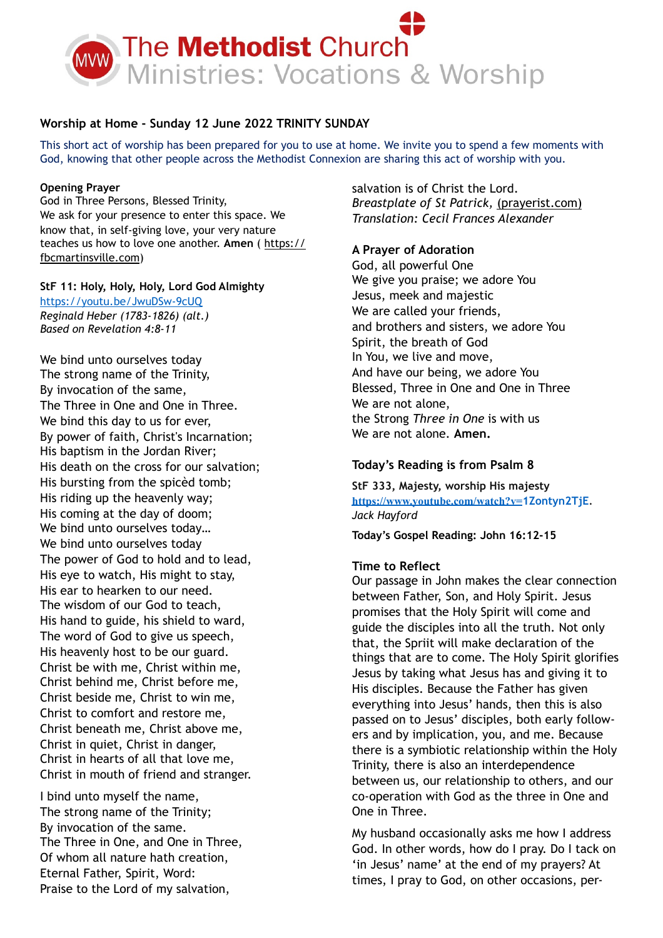

# **Worship at Home - Sunday 12 June 2022 TRINITY SUNDAY**

This short act of worship has been prepared for you to use at home. We invite you to spend a few moments with God, knowing that other people across the Methodist Connexion are sharing this act of worship with you.

### **Opening Prayer**

God in Three Persons, Blessed Trinity, We ask for your presence to enter this space. We know that, in self-giving love, your very nature teaches us how to love one another. **Amen** ( [https://](https://fbcmartinsville.com/) [fbcmartinsville.com](https://fbcmartinsville.com/))

## **StF 11: Holy, Holy, Holy, Lord God Almighty**

<https://youtu.be/JwuDSw-9cUQ> *Reginald Heber (1783-1826) (alt.) Based on Revelation 4:8-11* 

We bind unto ourselves today The strong name of the Trinity, By invocation of the same, The Three in One and One in Three. We bind this day to us for ever, By power of faith, Christ's Incarnation; His baptism in the Jordan River; His death on the cross for our salvation; His bursting from the spicèd tomb; His riding up the heavenly way; His coming at the day of doom; We bind unto ourselves today… We bind unto ourselves today The power of God to hold and to lead, His eye to watch, His might to stay, His ear to hearken to our need. The wisdom of our God to teach, His hand to guide, his shield to ward, The word of God to give us speech, His heavenly host to be our guard. Christ be with me, Christ within me, Christ behind me, Christ before me, Christ beside me, Christ to win me, Christ to comfort and restore me, Christ beneath me, Christ above me, Christ in quiet, Christ in danger, Christ in hearts of all that love me, Christ in mouth of friend and stranger.

I bind unto myself the name, The strong name of the Trinity; By invocation of the same. The Three in One, and One in Three, Of whom all nature hath creation, Eternal Father, Spirit, Word: Praise to the Lord of my salvation,

salvation is of Christ the Lord. *Breastplate of St Patrick,* [\(prayerist.com\)](https://prayerist.com/trinityprayers) *Translation: Cecil Frances Alexander* 

# **A Prayer of Adoration**

God, all powerful One We give you praise; we adore You Jesus, meek and majestic We are called your friends, and brothers and sisters, we adore You Spirit, the breath of God In You, we live and move, And have our being, we adore You Blessed, Three in One and One in Three We are not alone, the Strong *Three in One* is with us We are not alone. **Amen.** 

# **Today's Reading is from Psalm 8**

**StF 333, Majesty, worship His majesty [https://www.youtube.com/watch?v=](https://www.youtube.com/watch?v=1Zontyn2TjE)1Zontyn2TjE***. Jack Hayford* 

**Today's Gospel Reading: John 16:12-15**

## **Time to Reflect**

Our passage in John makes the clear connection between Father, Son, and Holy Spirit. Jesus promises that the Holy Spirit will come and guide the disciples into all the truth. Not only that, the Spriit will make declaration of the things that are to come. The Holy Spirit glorifies Jesus by taking what Jesus has and giving it to His disciples. Because the Father has given everything into Jesus' hands, then this is also passed on to Jesus' disciples, both early followers and by implication, you, and me. Because there is a symbiotic relationship within the Holy Trinity, there is also an interdependence between us, our relationship to others, and our co-operation with God as the three in One and One in Three.

My husband occasionally asks me how I address God. In other words, how do I pray. Do I tack on 'in Jesus' name' at the end of my prayers? At times, I pray to God, on other occasions, per